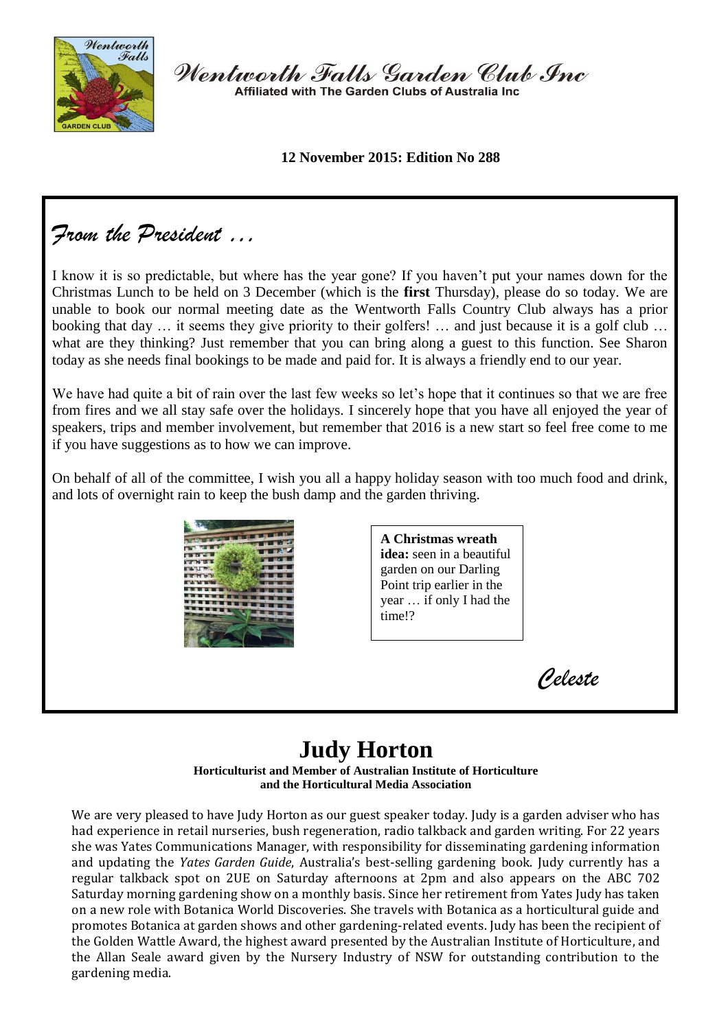

Wentworth Falls Garden Club Inc Affiliated with The Garden Clubs of Australia Inc.

**12 November 2015: Edition No 288**

# *From the President …*

I know it is so predictable, but where has the year gone? If you haven't put your names down for the Christmas Lunch to be held on 3 December (which is the **first** Thursday), please do so today. We are unable to book our normal meeting date as the Wentworth Falls Country Club always has a prior booking that day … it seems they give priority to their golfers! … and just because it is a golf club … what are they thinking? Just remember that you can bring along a guest to this function. See Sharon today as she needs final bookings to be made and paid for. It is always a friendly end to our year.

We have had quite a bit of rain over the last few weeks so let's hope that it continues so that we are free from fires and we all stay safe over the holidays. I sincerely hope that you have all enjoyed the year of speakers, trips and member involvement, but remember that 2016 is a new start so feel free come to me if you have suggestions as to how we can improve.

On behalf of all of the committee, I wish you all a happy holiday season with too much food and drink, and lots of overnight rain to keep the bush damp and the garden thriving.



**A Christmas wreath idea:** seen in a beautiful garden on our Darling Point trip earlier in the year … if only I had the time!?

*Celeste*

# **Judy Horton**

**Horticulturist and Member of Australian Institute of Horticulture and the Horticultural Media Association**

We are very pleased to have Judy Horton as our guest speaker today. Judy is a garden adviser who has had experience in retail nurseries, bush regeneration, radio talkback and garden writing. For 22 years she was Yates Communications Manager, with responsibility for disseminating gardening information and updating the *Yates Garden Guide*, Australia's best-selling gardening book. Judy currently has a regular talkback spot on 2UE on Saturday afternoons at 2pm and also appears on the ABC 702 Saturday morning gardening show on a monthly basis. Since her retirement from Yates Judy has taken on a new role with Botanica World Discoveries. She travels with Botanica as a horticultural guide and promotes Botanica at garden shows and other gardening-related events. Judy has been the recipient of the Golden Wattle Award, the highest award presented by the Australian Institute of Horticulture, and the Allan Seale award given by the Nursery Industry of NSW for outstanding contribution to the gardening media.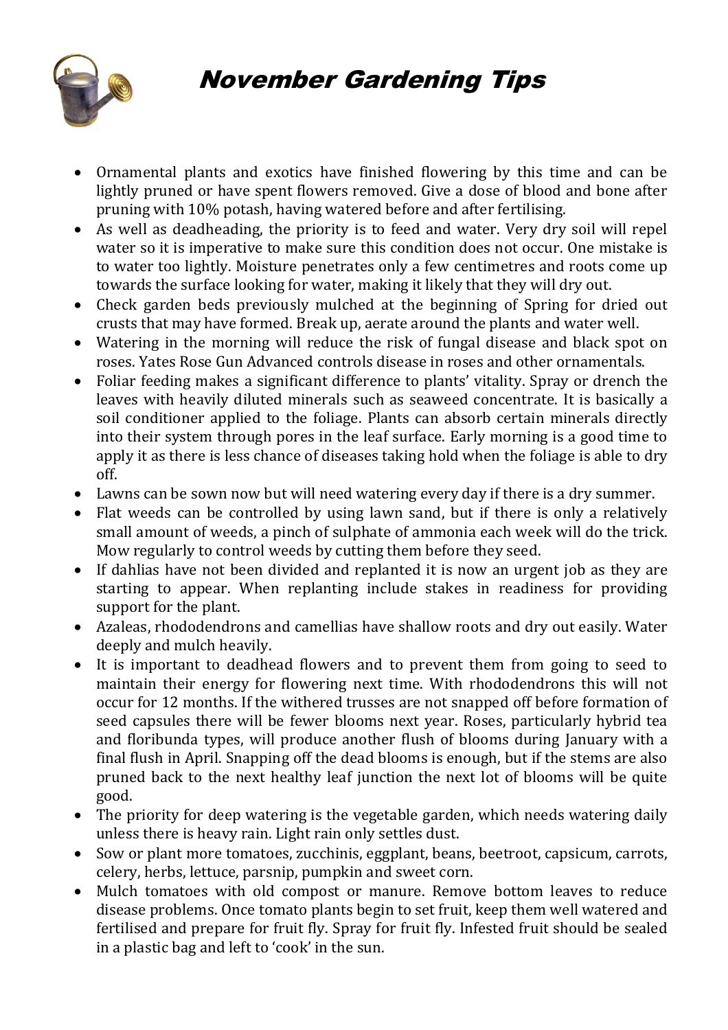

- Ornamental plants and exotics have finished flowering by this time and can be lightly pruned or have spent flowers removed. Give a dose of blood and bone after pruning with 10% potash, having watered before and after fertilising.
- As well as deadheading, the priority is to feed and water. Very dry soil will repel water so it is imperative to make sure this condition does not occur. One mistake is to water too lightly. Moisture penetrates only a few centimetres and roots come up towards the surface looking for water, making it likely that they will dry out.
- Check garden beds previously mulched at the beginning of Spring for dried out crusts that may have formed. Break up, aerate around the plants and water well.
- Watering in the morning will reduce the risk of fungal disease and black spot on roses. [Yates Rose Gun Advanced](http://www.yates.com.au/products/disease-control/ready-to-use/yates-rose-gun-ready-to-use/) controls disease in roses and other ornamentals.
- Foliar feeding makes a significant difference to plants' vitality. Spray or drench the leaves with heavily diluted minerals such as seaweed concentrate. It is basically a soil conditioner applied to the foliage. Plants can absorb certain minerals directly into their system through pores in the leaf surface. Early morning is a good time to apply it as there is less chance of diseases taking hold when the foliage is able to dry off.
- Lawns can be sown now but will need watering every day if there is a dry summer.
- Flat weeds can be controlled by using lawn sand, but if there is only a relatively small amount of weeds, a pinch of sulphate of ammonia each week will do the trick. Mow regularly to control weeds by cutting them before they seed.
- If dahlias have not been divided and replanted it is now an urgent job as they are starting to appear. When replanting include stakes in readiness for providing support for the plant.
- Azaleas, rhododendrons and camellias have shallow roots and dry out easily. Water deeply and mulch heavily.
- It is important to deadhead flowers and to prevent them from going to seed to maintain their energy for flowering next time. With rhododendrons this will not occur for 12 months. If the withered trusses are not snapped off before formation of seed capsules there will be fewer blooms next year. Roses, particularly hybrid tea and floribunda types, will produce another flush of blooms during January with a final flush in April. Snapping off the dead blooms is enough, but if the stems are also pruned back to the next healthy leaf junction the next lot of blooms will be quite good.
- The priority for deep watering is the vegetable garden, which needs watering daily unless there is heavy rain. Light rain only settles dust.
- Sow or plant more [tomatoes,](http://www.yates.com.au/products/seeds/vegetables/organic-tomato-roma/) [zucchinis,](http://www.yates.com.au/products/seeds/vegetables/zucchini-blackjack/) [eggplant,](http://www.yates.com.au/products/seeds/vegetables/eggplant-blacknite/) beans, beetroot, capsicum, carrots, celery, herbs, lettuce, parsnip, pumpkin and [sweet corn.](http://www.yates.com.au/products/seeds/vegetables/sweet-corn-sun-n-snow/)
- Mulch tomatoes with old compost or manure. Remove bottom leaves to reduce disease problems. Once [tomato](http://flowerpower.com.au/information/gardening/growing-tomatoes-in-sydney/) plants begin to set fruit, keep them well watered and fertilised and prepare for fruit fly. Spray for fruit fly. Infested fruit should be sealed in a plastic bag and left to 'cook' in the sun.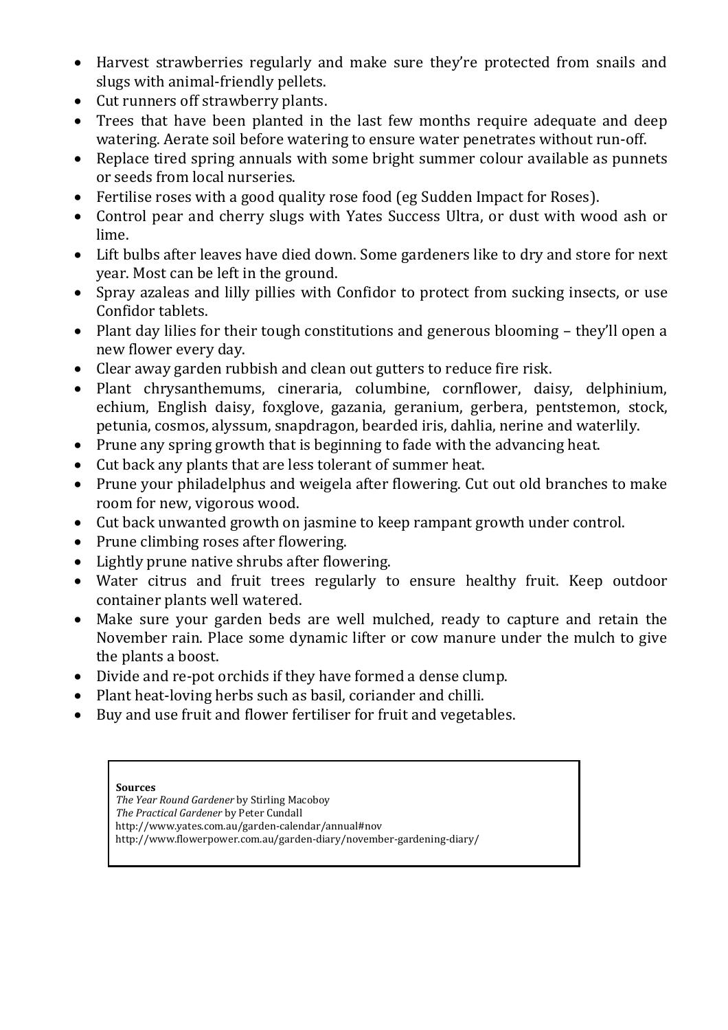- Harvest strawberries regularly and make sure they're protected from snails and slugs with animal-friendly pellets.
- Cut runners off [strawberry](http://flowerpower.com.au/information/fact-sheets/strawberries/) plants.
- Trees that have been planted in the last few months require adequate and deep watering. Aerate soil before watering to ensure water penetrates without run-off.
- Replace tired spring annuals with some bright summer colour available as punnets or seeds from local nurseries.
- Fertilise roses with a good quality rose food (eg Sudden Impact for Roses).
- Control pear and cherry slugs with [Yates Success Ultra,](http://www.yates.com.au/products/pest-control/insects-concentrates/yates-success-ultra-insect-control/) or dust with wood ash or lime.
- Lift bulbs after leaves have died down. Some gardeners like to dry and store for next year. Most can be left in the ground.
- Spray azaleas and lilly pillies with [Confidor](http://www.yates.com.au/products/pest-control/insects-ready-to-use/bayer-confidor-insecticide-ready-to-use/) to protect from sucking insects, or use [Confidor tablets.](http://www.yates.com.au/products/pest-control/insects-ready-to-use/yates-confidor-tablets-garden-insecticide/)
- Plant day lilies for their tough constitutions and generous blooming they'll open a new flower every day.
- Clear away garden rubbish and clean out gutters to reduce fire risk.
- Plant chrysanthemums, cineraria, columbine, cornflower, daisy, delphinium, echium, English daisy, foxglove, gazania, geranium, gerbera, pentstemon, stock, petunia, cosmos, alyssum, snapdragon, bearded iris, dahlia, nerine and waterlily.
- Prune any spring growth that is beginning to fade with the advancing heat.
- Cut back any plants that are less tolerant of summer heat.
- Prune your philadelphus and weigela after flowering. Cut out old branches to make room for new, vigorous wood.
- Cut back unwanted growth on jasmine to keep rampant growth under control.
- Prune climbing roses after flowering.
- Lightly prune native shrubs after flowering.
- Water [citrus](http://flowerpower.com.au/information/fact-sheets/citrus-care/) and fruit trees regularly to ensure healthy fruit. Keep outdoor container plants well watered.
- Make sure your garden beds are well [mulched,](http://flowerpower.com.au/information/gardening/mulching/) ready to capture and retain the November rain. Place some dynamic lifter or cow manure under the mulch to give the plants a boost.
- Divide and re-pot [orchids](http://flowerpower.com.au/information/gardening/orchids-article/) if they have formed a dense clump.
- Plant heat-loving herbs such as basil, coriander and chilli.
- Buy and use fruit and flower fertiliser for fruit and vegetables.

#### **Sources**

*The Year Round Gardener* by Stirling Macoboy *The Practical Gardener* by Peter Cundall http://www.yates.com.au/garden-calendar/annual#nov http://www.flowerpower.com.au/garden-diary/november-gardening-diary/